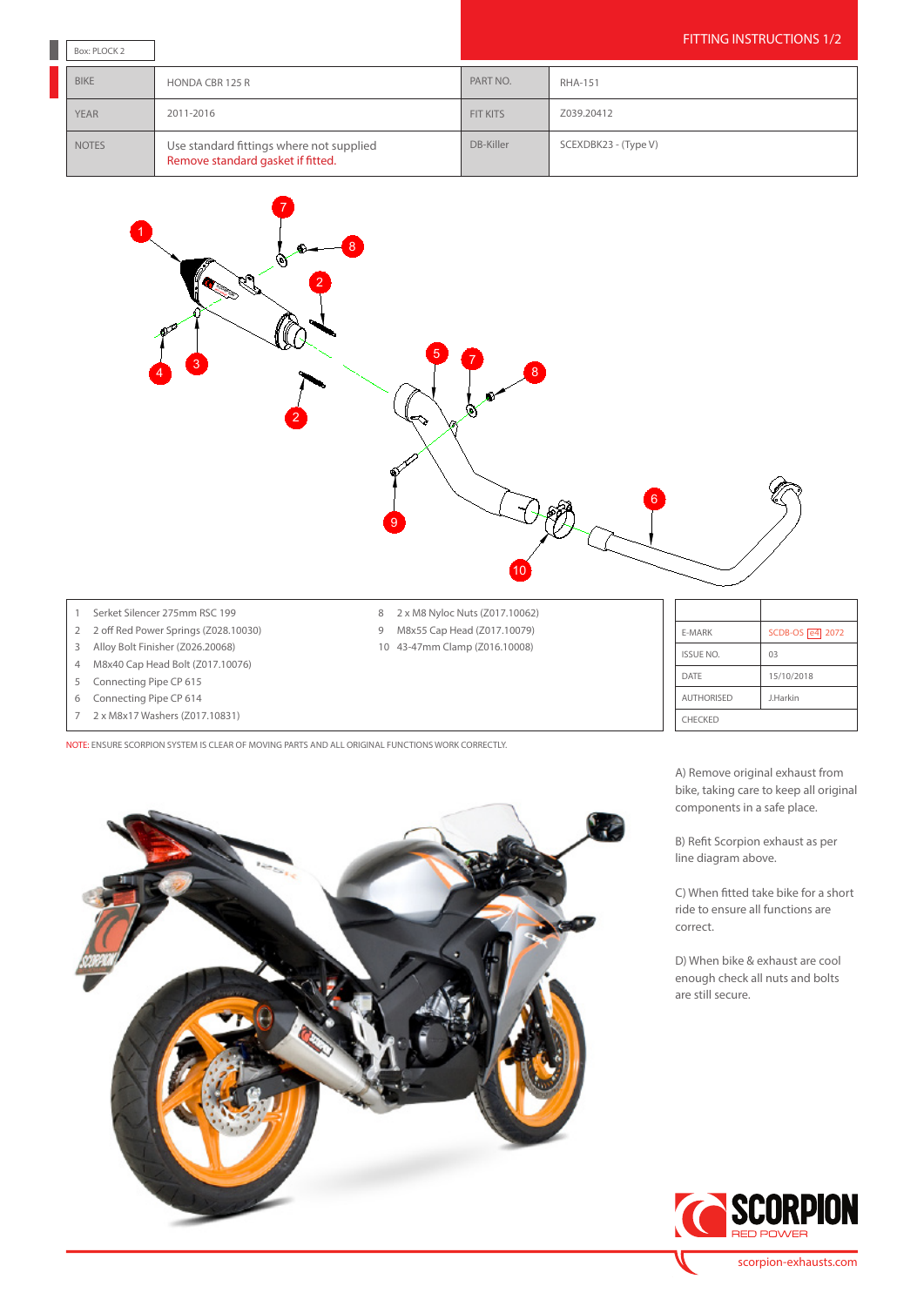| Box: PLOCK 2 |                                                                               |                 | <b>FITTING INSTRUCTIONS 1/2</b> |  |
|--------------|-------------------------------------------------------------------------------|-----------------|---------------------------------|--|
| <b>BIKE</b>  | HONDA CBR 125 R                                                               | PART NO.        | <b>RHA-151</b>                  |  |
| <b>YEAR</b>  | 2011-2016                                                                     | <b>FIT KITS</b> | Z039.20412                      |  |
| <b>NOTES</b> | Use standard fittings where not supplied<br>Remove standard gasket if fitted. | DB-Killer       | SCEXDBK23 - (Type V)            |  |



- 4 M8x40 Cap Head Bolt (Z017.10076)
- 5 Connecting Pipe CP 615
- 6 Connecting Pipe CP 614
- 7 2 x M8x17 Washers (Z017.10831)

NOTE: ENSURE SCORPION SYSTEM IS CLEAR OF MOVING PARTS AND ALL ORIGINAL FUNCTIONS WORK CORRECTLY.



A) Remove original exhaust from bike, taking care to keep all original components in a safe place.

DATE 15/10/2018 AUTHORISED J.Harkin

CHECKED

B) Refit Scorpion exhaust as per line diagram above.

C) When fitted take bike for a short ride to ensure all functions are correct.

D) When bike & exhaust are cool enough check all nuts and bolts are still secure.